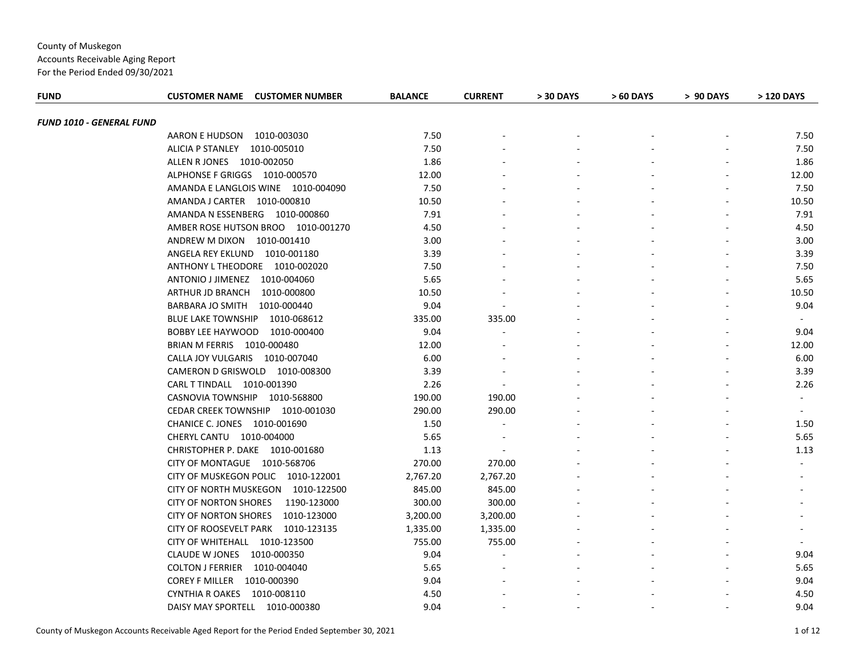Accounts Receivable Aging Report

| <b>FUND</b>              | <b>CUSTOMER NAME CUSTOMER NUMBER</b>        | <b>BALANCE</b> | <b>CURRENT</b>           | > 30 DAYS | > 60 DAYS | > 90 DAYS | > 120 DAYS     |
|--------------------------|---------------------------------------------|----------------|--------------------------|-----------|-----------|-----------|----------------|
|                          |                                             |                |                          |           |           |           |                |
| FUND 1010 - GENERAL FUND | 1010-003030<br>AARON E HUDSON               | 7.50           |                          |           |           |           | 7.50           |
|                          | ALICIA P STANLEY 1010-005010                | 7.50           |                          |           |           |           | 7.50           |
|                          | ALLEN R JONES 1010-002050                   | 1.86           |                          |           |           |           | 1.86           |
|                          | ALPHONSE F GRIGGS 1010-000570               | 12.00          |                          |           |           |           | 12.00          |
|                          | AMANDA E LANGLOIS WINE 1010-004090          | 7.50           |                          |           |           |           | 7.50           |
|                          | AMANDA J CARTER 1010-000810                 | 10.50          |                          |           |           |           | 10.50          |
|                          | AMANDA N ESSENBERG 1010-000860              | 7.91           |                          |           |           |           | 7.91           |
|                          | AMBER ROSE HUTSON BROO 1010-001270          | 4.50           |                          |           |           |           | 4.50           |
|                          | ANDREW M DIXON 1010-001410                  | 3.00           |                          |           |           |           | 3.00           |
|                          | ANGELA REY EKLUND 1010-001180               | 3.39           |                          |           |           |           | 3.39           |
|                          | ANTHONY L THEODORE 1010-002020              | 7.50           |                          |           |           |           | 7.50           |
|                          | ANTONIO J JIMENEZ 1010-004060               | 5.65           |                          |           |           |           | 5.65           |
|                          | ARTHUR JD BRANCH 1010-000800                | 10.50          |                          |           |           |           | 10.50          |
|                          | BARBARA JO SMITH  1010-000440               | 9.04           |                          |           |           |           | 9.04           |
|                          | <b>BLUE LAKE TOWNSHIP</b><br>1010-068612    | 335.00         | 335.00                   |           |           |           | $\sim$         |
|                          | BOBBY LEE HAYWOOD<br>1010-000400            | 9.04           |                          |           |           |           | 9.04           |
|                          | BRIAN M FERRIS 1010-000480                  | 12.00          |                          |           |           |           | 12.00          |
|                          | CALLA JOY VULGARIS 1010-007040              | 6.00           |                          |           |           |           | 6.00           |
|                          | CAMERON D GRISWOLD 1010-008300              | 3.39           |                          |           |           |           | 3.39           |
|                          | CARL T TINDALL 1010-001390                  | 2.26           | $\blacksquare$           |           |           |           | 2.26           |
|                          | CASNOVIA TOWNSHIP 1010-568800               | 190.00         | 190.00                   |           |           |           | $\blacksquare$ |
|                          | CEDAR CREEK TOWNSHIP 1010-001030            | 290.00         | 290.00                   |           |           |           | $\sim$         |
|                          | CHANICE C. JONES 1010-001690                | 1.50           | $\blacksquare$           |           |           |           | 1.50           |
|                          | CHERYL CANTU 1010-004000                    | 5.65           | $\overline{\phantom{a}}$ |           |           |           | 5.65           |
|                          | CHRISTOPHER P. DAKE 1010-001680             | 1.13           |                          |           |           |           | 1.13           |
|                          | CITY OF MONTAGUE 1010-568706                | 270.00         | 270.00                   |           |           |           |                |
|                          | CITY OF MUSKEGON POLIC 1010-122001          | 2,767.20       | 2,767.20                 |           |           |           |                |
|                          | CITY OF NORTH MUSKEGON 1010-122500          | 845.00         | 845.00                   |           |           |           |                |
|                          | <b>CITY OF NORTON SHORES</b><br>1190-123000 | 300.00         | 300.00                   |           |           |           |                |
|                          | CITY OF NORTON SHORES 1010-123000           | 3,200.00       | 3,200.00                 |           |           |           |                |
|                          | CITY OF ROOSEVELT PARK 1010-123135          | 1,335.00       | 1,335.00                 |           |           |           |                |
|                          | CITY OF WHITEHALL 1010-123500               | 755.00         | 755.00                   |           |           |           | $\sim$         |
|                          | CLAUDE W JONES 1010-000350                  | 9.04           |                          |           |           |           | 9.04           |
|                          | COLTON J FERRIER 1010-004040                | 5.65           |                          |           |           |           | 5.65           |
|                          | COREY F MILLER 1010-000390                  | 9.04           |                          |           |           |           | 9.04           |
|                          | CYNTHIA R OAKES 1010-008110                 | 4.50           |                          |           |           |           | 4.50           |
|                          | DAISY MAY SPORTELL 1010-000380              | 9.04           |                          |           |           |           | 9.04           |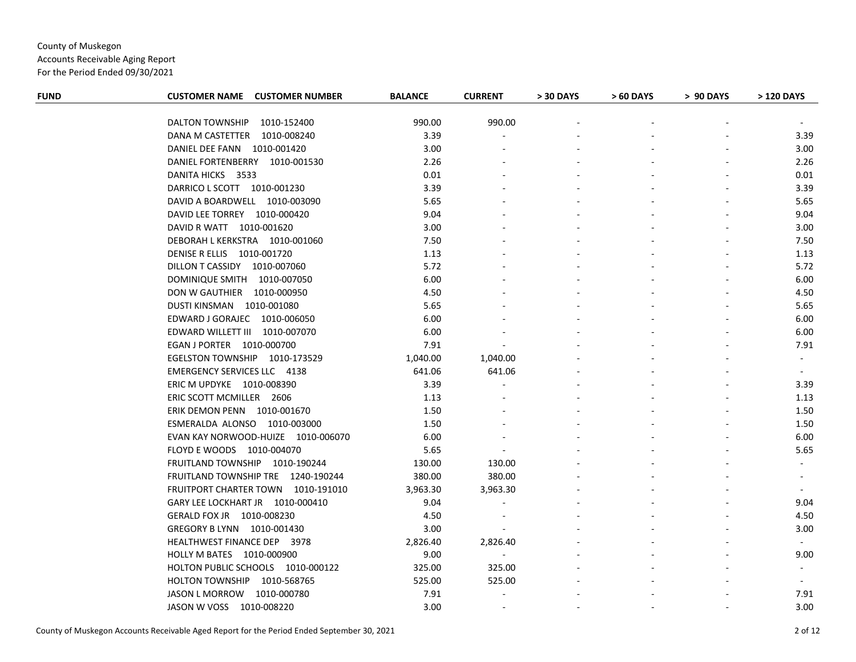Accounts Receivable Aging Report

| <b>FUND</b> | <b>CUSTOMER NAME CUSTOMER NUMBER</b>  | <b>BALANCE</b> | <b>CURRENT</b>           | > 30 DAYS | > 60 DAYS | > 90 DAYS | > 120 DAYS     |
|-------------|---------------------------------------|----------------|--------------------------|-----------|-----------|-----------|----------------|
|             |                                       |                |                          |           |           |           |                |
|             | <b>DALTON TOWNSHIP</b><br>1010-152400 | 990.00         | 990.00                   |           |           |           |                |
|             | DANA M CASTETTER 1010-008240          | 3.39           |                          |           |           |           | 3.39           |
|             | DANIEL DEE FANN 1010-001420           | 3.00           |                          |           |           |           | 3.00           |
|             | DANIEL FORTENBERRY 1010-001530        | 2.26           |                          |           |           |           | 2.26           |
|             | DANITA HICKS 3533                     | 0.01           |                          |           |           |           | 0.01           |
|             | DARRICO L SCOTT 1010-001230           | 3.39           |                          |           |           |           | 3.39           |
|             | DAVID A BOARDWELL 1010-003090         | 5.65           |                          |           |           |           | 5.65           |
|             | DAVID LEE TORREY 1010-000420          | 9.04           |                          |           |           |           | 9.04           |
|             | DAVID R WATT 1010-001620              | 3.00           |                          |           |           |           | 3.00           |
|             | DEBORAH L KERKSTRA 1010-001060        | 7.50           |                          |           |           |           | 7.50           |
|             | DENISE R ELLIS 1010-001720            | 1.13           |                          |           |           |           | 1.13           |
|             | DILLON T CASSIDY 1010-007060          | 5.72           |                          |           |           |           | 5.72           |
|             | DOMINIQUE SMITH 1010-007050           | 6.00           |                          |           |           |           | 6.00           |
|             | DON W GAUTHIER 1010-000950            | 4.50           |                          |           |           |           | 4.50           |
|             | DUSTI KINSMAN 1010-001080             | 5.65           |                          |           |           |           | 5.65           |
|             | EDWARD J GORAJEC 1010-006050          | 6.00           |                          |           |           |           | 6.00           |
|             | EDWARD WILLETT III 1010-007070        | 6.00           |                          |           |           |           | 6.00           |
|             | EGAN J PORTER 1010-000700             | 7.91           |                          |           |           |           | 7.91           |
|             | EGELSTON TOWNSHIP 1010-173529         | 1,040.00       | 1,040.00                 |           |           |           | $\sim$         |
|             | <b>EMERGENCY SERVICES LLC 4138</b>    | 641.06         | 641.06                   |           |           |           | $\sim$         |
|             | ERIC M UPDYKE 1010-008390             | 3.39           |                          |           |           |           | 3.39           |
|             | ERIC SCOTT MCMILLER 2606              | 1.13           |                          |           |           |           | 1.13           |
|             | ERIK DEMON PENN 1010-001670           | 1.50           |                          |           |           |           | 1.50           |
|             | ESMERALDA ALONSO 1010-003000          | 1.50           |                          |           |           |           | 1.50           |
|             | EVAN KAY NORWOOD-HUIZE 1010-006070    | 6.00           |                          |           |           |           | 6.00           |
|             | FLOYD E WOODS 1010-004070             | 5.65           |                          |           |           |           | 5.65           |
|             | FRUITLAND TOWNSHIP 1010-190244        | 130.00         | 130.00                   |           |           |           |                |
|             | FRUITLAND TOWNSHIP TRE 1240-190244    | 380.00         | 380.00                   |           |           |           |                |
|             | FRUITPORT CHARTER TOWN 1010-191010    | 3,963.30       | 3,963.30                 |           |           |           |                |
|             | GARY LEE LOCKHART JR 1010-000410      | 9.04           |                          |           |           |           | 9.04           |
|             | GERALD FOX JR  1010-008230            | 4.50           |                          |           |           |           | 4.50           |
|             | GREGORY B LYNN 1010-001430            | 3.00           | $\sim$                   |           |           |           | 3.00           |
|             | HEALTHWEST FINANCE DEP 3978           | 2,826.40       | 2,826.40                 |           |           |           | $\sim$         |
|             | HOLLY M BATES 1010-000900             | 9.00           | $\sim$                   |           |           |           | 9.00           |
|             | HOLTON PUBLIC SCHOOLS 1010-000122     | 325.00         | 325.00                   |           |           |           | $\blacksquare$ |
|             | HOLTON TOWNSHIP 1010-568765           | 525.00         | 525.00                   |           |           |           |                |
|             | JASON L MORROW 1010-000780            | 7.91           | $\overline{a}$           |           |           |           | 7.91           |
|             | JASON W VOSS 1010-008220              | 3.00           | $\overline{\phantom{a}}$ |           |           |           | 3.00           |
|             |                                       |                |                          |           |           |           |                |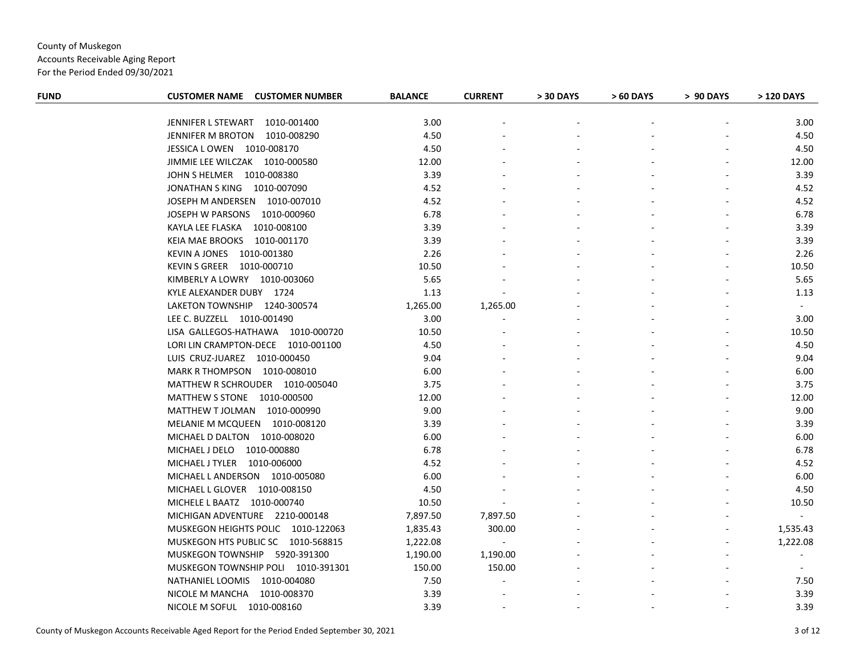Accounts Receivable Aging Report

| <b>FUND</b> | <b>CUSTOMER NAME CUSTOMER NUMBER</b> | <b>BALANCE</b> | <b>CURRENT</b> | > 30 DAYS | > 60 DAYS | > 90 DAYS | > 120 DAYS     |
|-------------|--------------------------------------|----------------|----------------|-----------|-----------|-----------|----------------|
|             |                                      |                |                |           |           |           |                |
|             | JENNIFER L STEWART 1010-001400       | 3.00           |                |           |           |           | 3.00           |
|             | JENNIFER M BROTON 1010-008290        | 4.50           |                |           |           |           | 4.50           |
|             | JESSICA LOWEN 1010-008170            | 4.50           |                |           |           |           | 4.50           |
|             | JIMMIE LEE WILCZAK 1010-000580       | 12.00          |                |           |           |           | 12.00          |
|             | JOHN S HELMER  1010-008380           | 3.39           |                |           |           |           | 3.39           |
|             | JONATHAN S KING 1010-007090          | 4.52           |                |           |           |           | 4.52           |
|             | JOSEPH M ANDERSEN 1010-007010        | 4.52           |                |           |           |           | 4.52           |
|             | JOSEPH W PARSONS 1010-000960         | 6.78           |                |           |           |           | 6.78           |
|             | KAYLA LEE FLASKA 1010-008100         | 3.39           |                |           |           |           | 3.39           |
|             | KEIA MAE BROOKS 1010-001170          | 3.39           |                |           |           |           | 3.39           |
|             | KEVIN A JONES 1010-001380            | 2.26           |                |           |           |           | 2.26           |
|             | KEVIN S GREER 1010-000710            | 10.50          |                |           |           |           | 10.50          |
|             | KIMBERLY A LOWRY 1010-003060         | 5.65           |                |           |           |           | 5.65           |
|             | KYLE ALEXANDER DUBY 1724             | 1.13           |                |           |           |           | 1.13           |
|             | LAKETON TOWNSHIP 1240-300574         | 1,265.00       | 1,265.00       |           |           |           | $\sim$         |
|             | LEE C. BUZZELL 1010-001490           | 3.00           |                |           |           |           | 3.00           |
|             | LISA GALLEGOS-HATHAWA 1010-000720    | 10.50          |                |           |           |           | 10.50          |
|             | LORI LIN CRAMPTON-DECE 1010-001100   | 4.50           |                |           |           |           | 4.50           |
|             | LUIS CRUZ-JUAREZ 1010-000450         | 9.04           |                |           |           |           | 9.04           |
|             | MARK R THOMPSON 1010-008010          | 6.00           |                |           |           |           | 6.00           |
|             | MATTHEW R SCHROUDER 1010-005040      | 3.75           |                |           |           |           | 3.75           |
|             | MATTHEW S STONE 1010-000500          | 12.00          |                |           |           |           | 12.00          |
|             | MATTHEW T JOLMAN 1010-000990         | 9.00           |                |           |           |           | 9.00           |
|             | MELANIE M MCQUEEN 1010-008120        | 3.39           |                |           |           |           | 3.39           |
|             | MICHAEL D DALTON 1010-008020         | 6.00           |                |           |           |           | 6.00           |
|             | MICHAEL J DELO 1010-000880           | 6.78           |                |           |           |           | 6.78           |
|             | MICHAEL J TYLER 1010-006000          | 4.52           |                |           |           |           | 4.52           |
|             | MICHAEL LANDERSON 1010-005080        | 6.00           |                |           |           |           | 6.00           |
|             | MICHAEL L GLOVER 1010-008150         | 4.50           |                |           |           |           | 4.50           |
|             | MICHELE L BAATZ 1010-000740          | 10.50          |                |           |           |           | 10.50          |
|             | MICHIGAN ADVENTURE 2210-000148       | 7,897.50       | 7,897.50       |           |           |           | $\sim$         |
|             | MUSKEGON HEIGHTS POLIC 1010-122063   | 1,835.43       | 300.00         |           |           |           | 1,535.43       |
|             | MUSKEGON HTS PUBLIC SC 1010-568815   | 1,222.08       | $\sim$         |           |           |           | 1,222.08       |
|             | MUSKEGON TOWNSHIP 5920-391300        | 1,190.00       | 1,190.00       |           |           |           | $\blacksquare$ |
|             | MUSKEGON TOWNSHIP POLI 1010-391301   | 150.00         | 150.00         |           |           |           |                |
|             | NATHANIEL LOOMIS 1010-004080         | 7.50           |                |           |           |           | 7.50           |
|             | NICOLE M MANCHA 1010-008370          | 3.39           |                |           |           |           | 3.39           |
|             | NICOLE M SOFUL 1010-008160           | 3.39           |                |           |           |           | 3.39           |
|             |                                      |                |                |           |           |           |                |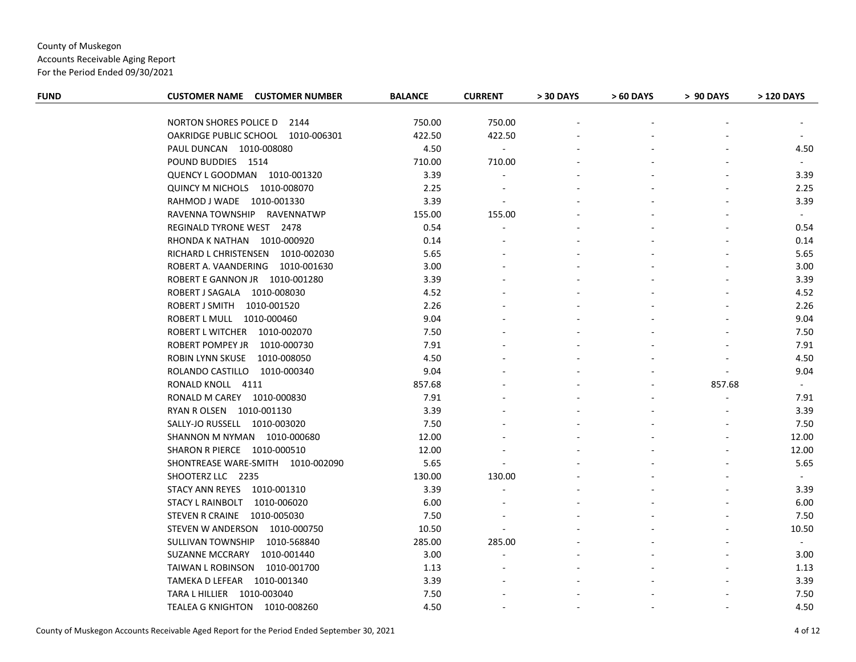Accounts Receivable Aging Report

| <b>FUND</b> | <b>CUSTOMER NAME CUSTOMER NUMBER</b> | <b>BALANCE</b> | <b>CURRENT</b>           | > 30 DAYS | > 60 DAYS | > 90 DAYS      | > 120 DAYS     |
|-------------|--------------------------------------|----------------|--------------------------|-----------|-----------|----------------|----------------|
|             |                                      |                |                          |           |           |                |                |
|             | NORTON SHORES POLICE D 2144          | 750.00         | 750.00                   |           |           |                |                |
|             | OAKRIDGE PUBLIC SCHOOL 1010-006301   | 422.50         | 422.50                   |           |           |                |                |
|             | PAUL DUNCAN 1010-008080              | 4.50           | $\sim$                   |           |           |                | 4.50           |
|             | POUND BUDDIES 1514                   | 710.00         | 710.00                   |           |           |                | $\sim$         |
|             | QUENCY L GOODMAN 1010-001320         | 3.39           |                          |           |           |                | 3.39           |
|             | QUINCY M NICHOLS 1010-008070         | 2.25           | $\overline{\phantom{a}}$ |           |           |                | 2.25           |
|             | RAHMOD J WADE 1010-001330            | 3.39           | $\overline{\phantom{a}}$ |           |           |                | 3.39           |
|             | RAVENNA TOWNSHIP RAVENNATWP          | 155.00         | 155.00                   |           |           |                | $\sim$         |
|             | REGINALD TYRONE WEST 2478            | 0.54           |                          |           |           |                | 0.54           |
|             | RHONDA K NATHAN 1010-000920          | 0.14           |                          |           |           |                | 0.14           |
|             | RICHARD L CHRISTENSEN 1010-002030    | 5.65           |                          |           |           |                | 5.65           |
|             | ROBERT A. VAANDERING 1010-001630     | 3.00           |                          |           |           |                | 3.00           |
|             | ROBERT E GANNON JR  1010-001280      | 3.39           |                          |           |           |                | 3.39           |
|             | ROBERT J SAGALA 1010-008030          | 4.52           |                          |           |           |                | 4.52           |
|             | ROBERT J SMITH 1010-001520           | 2.26           |                          |           |           |                | 2.26           |
|             | ROBERT L MULL 1010-000460            | 9.04           |                          |           |           |                | 9.04           |
|             | ROBERT L WITCHER 1010-002070         | 7.50           |                          |           |           |                | 7.50           |
|             | ROBERT POMPEY JR 1010-000730         | 7.91           |                          |           |           |                | 7.91           |
|             | ROBIN LYNN SKUSE 1010-008050         | 4.50           |                          |           |           |                | 4.50           |
|             | ROLANDO CASTILLO 1010-000340         | 9.04           |                          |           |           | $\blacksquare$ | 9.04           |
|             | RONALD KNOLL 4111                    | 857.68         |                          |           |           | 857.68         | $\sim$         |
|             | RONALD M CAREY 1010-000830           | 7.91           |                          |           |           | $\blacksquare$ | 7.91           |
|             | RYAN R OLSEN 1010-001130             | 3.39           |                          |           |           |                | 3.39           |
|             | SALLY-JO RUSSELL 1010-003020         | 7.50           |                          |           |           |                | 7.50           |
|             | SHANNON M NYMAN 1010-000680          | 12.00          |                          |           |           |                | 12.00          |
|             | SHARON R PIERCE 1010-000510          | 12.00          |                          |           |           |                | 12.00          |
|             | SHONTREASE WARE-SMITH 1010-002090    | 5.65           |                          |           |           |                | 5.65           |
|             | SHOOTERZ LLC 2235                    | 130.00         | 130.00                   |           |           |                | $\sim$         |
|             | STACY ANN REYES 1010-001310          | 3.39           |                          |           |           |                | 3.39           |
|             | STACY L RAINBOLT 1010-006020         | 6.00           |                          |           |           |                | 6.00           |
|             | STEVEN R CRAINE 1010-005030          | 7.50           |                          |           |           |                | 7.50           |
|             | STEVEN W ANDERSON 1010-000750        | 10.50          |                          |           |           |                | 10.50          |
|             | SULLIVAN TOWNSHIP<br>1010-568840     | 285.00         | 285.00                   |           |           |                | $\sim$ $^{-1}$ |
|             | SUZANNE MCCRARY 1010-001440          | 3.00           |                          |           |           |                | 3.00           |
|             | TAIWAN L ROBINSON 1010-001700        | 1.13           |                          |           |           |                | 1.13           |
|             | TAMEKA D LEFEAR 1010-001340          | 3.39           |                          |           |           |                | 3.39           |
|             | TARA L HILLIER  1010-003040          | 7.50           |                          |           |           |                | 7.50           |
|             | TEALEA G KNIGHTON 1010-008260        | 4.50           |                          |           |           |                | 4.50           |
|             |                                      |                |                          |           |           |                |                |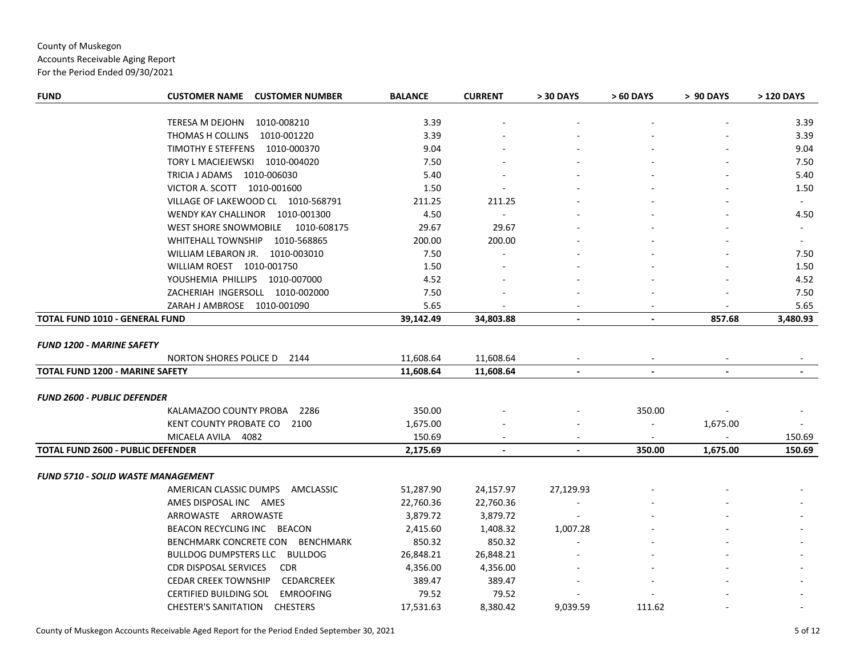Accounts Receivable Aging Report

| <b>FUND</b>                               | <b>CUSTOMER NAME</b><br><b>CUSTOMER NUMBER</b>    | <b>BALANCE</b> | <b>CURRENT</b> | > 30 DAYS      | > 60 DAYS      | > 90 DAYS      | > 120 DAYS     |
|-------------------------------------------|---------------------------------------------------|----------------|----------------|----------------|----------------|----------------|----------------|
|                                           | TERESA M DEJOHN 1010-008210                       | 3.39           |                |                |                |                | 3.39           |
|                                           | THOMAS H COLLINS<br>1010-001220                   | 3.39           |                |                |                |                | 3.39           |
|                                           | TIMOTHY E STEFFENS<br>1010-000370                 | 9.04           |                |                |                |                | 9.04           |
|                                           | TORY L MACIEJEWSKI<br>1010-004020                 | 7.50           |                |                |                |                | 7.50           |
|                                           | TRICIA J ADAMS  1010-006030                       | 5.40           |                |                |                |                | 5.40           |
|                                           | VICTOR A. SCOTT 1010-001600                       | 1.50           |                |                |                |                | 1.50           |
|                                           | VILLAGE OF LAKEWOOD CL 1010-568791                | 211.25         | 211.25         |                |                |                | $\sim$         |
|                                           | WENDY KAY CHALLINOR 1010-001300                   | 4.50           |                |                |                |                | 4.50           |
|                                           | WEST SHORE SNOWMOBILE 1010-608175                 | 29.67          | 29.67          |                |                |                |                |
|                                           | WHITEHALL TOWNSHIP 1010-568865                    | 200.00         | 200.00         |                |                |                |                |
|                                           |                                                   |                |                |                |                |                |                |
|                                           | WILLIAM LEBARON JR. 1010-003010                   | 7.50           |                |                |                |                | 7.50           |
|                                           | WILLIAM ROEST 1010-001750                         | 1.50           |                |                |                |                | 1.50           |
|                                           | YOUSHEMIA PHILLIPS 1010-007000                    | 4.52           |                |                |                |                | 4.52           |
|                                           | ZACHERIAH INGERSOLL 1010-002000                   | 7.50           |                |                |                |                | 7.50           |
|                                           | ZARAH J AMBROSE 1010-001090                       | 5.65           |                |                |                |                | 5.65           |
| <b>TOTAL FUND 1010 - GENERAL FUND</b>     |                                                   | 39,142.49      | 34,803.88      | $\blacksquare$ | $\blacksquare$ | 857.68         | 3,480.93       |
| <b>FUND 1200 - MARINE SAFETY</b>          |                                                   |                |                |                |                |                |                |
|                                           | NORTON SHORES POLICE D<br>2144                    | 11,608.64      | 11,608.64      |                |                |                |                |
| TOTAL FUND 1200 - MARINE SAFETY           |                                                   | 11,608.64      | 11,608.64      | $\blacksquare$ | $\blacksquare$ | $\blacksquare$ | $\blacksquare$ |
|                                           |                                                   |                |                |                |                |                |                |
| <b>FUND 2600 - PUBLIC DEFENDER</b>        |                                                   |                |                |                |                |                |                |
|                                           | KALAMAZOO COUNTY PROBA<br>2286                    | 350.00         |                |                | 350.00         |                |                |
|                                           | KENT COUNTY PROBATE CO<br>2100                    | 1,675.00       |                |                | $\blacksquare$ | 1,675.00       |                |
|                                           | MICAELA AVILA 4082                                | 150.69         |                |                | $\sim$         |                | 150.69         |
| <b>TOTAL FUND 2600 - PUBLIC DEFENDER</b>  |                                                   | 2,175.69       | $\blacksquare$ | $\blacksquare$ | 350.00         | 1,675.00       | 150.69         |
|                                           |                                                   |                |                |                |                |                |                |
| <b>FUND 5710 - SOLID WASTE MANAGEMENT</b> |                                                   |                |                |                |                |                |                |
|                                           | AMERICAN CLASSIC DUMPS AMCLASSIC                  | 51,287.90      | 24,157.97      | 27,129.93      |                |                |                |
|                                           | AMES DISPOSAL INC AMES                            | 22,760.36      | 22,760.36      |                |                |                |                |
|                                           | ARROWASTE ARROWASTE                               | 3,879.72       | 3,879.72       |                |                |                |                |
|                                           | BEACON RECYCLING INC BEACON                       | 2,415.60       | 1,408.32       | 1,007.28       |                |                |                |
|                                           | BENCHMARK CONCRETE CON<br><b>BENCHMARK</b>        | 850.32         | 850.32         |                |                |                |                |
|                                           | BULLDOG DUMPSTERS LLC BULLDOG                     | 26,848.21      | 26,848.21      |                |                |                |                |
|                                           | <b>CDR DISPOSAL SERVICES</b><br><b>CDR</b>        | 4,356.00       | 4,356.00       |                |                |                |                |
|                                           | <b>CEDAR CREEK TOWNSHIP</b><br>CEDARCREEK         | 389.47         | 389.47         |                |                |                |                |
|                                           | <b>CERTIFIED BUILDING SOL</b><br><b>EMROOFING</b> | 79.52          | 79.52          |                |                |                |                |
|                                           | <b>CHESTER'S SANITATION</b><br><b>CHESTERS</b>    | 17,531.63      | 8,380.42       | 9,039.59       | 111.62         |                |                |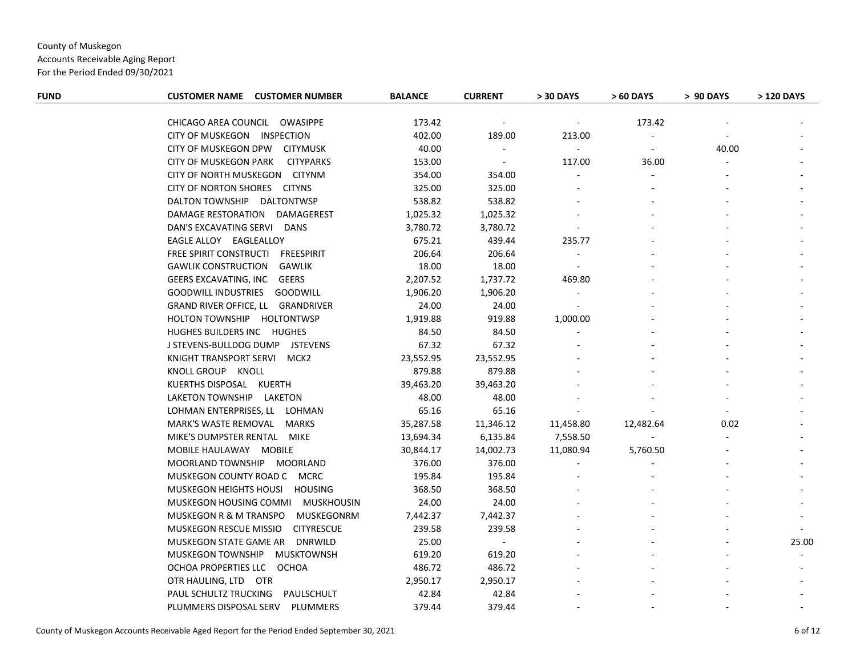Accounts Receivable Aging Report

| <b>FUND</b> | <b>CUSTOMER NAME CUSTOMER NUMBER</b>             | <b>BALANCE</b> | <b>CURRENT</b> | > 30 DAYS                | > 60 DAYS | > 90 DAYS      | > 120 DAYS |
|-------------|--------------------------------------------------|----------------|----------------|--------------------------|-----------|----------------|------------|
|             |                                                  |                |                |                          |           |                |            |
|             | CHICAGO AREA COUNCIL OWASIPPE                    | 173.42         |                | $\overline{\phantom{a}}$ | 173.42    |                |            |
|             | CITY OF MUSKEGON INSPECTION                      | 402.00         | 189.00         | 213.00                   |           |                |            |
|             | CITY OF MUSKEGON DPW CITYMUSK                    | 40.00          | $\blacksquare$ | $\sim$                   |           | 40.00          |            |
|             | <b>CITY OF MUSKEGON PARK</b><br><b>CITYPARKS</b> | 153.00         | $\sim$         | 117.00                   | 36.00     |                |            |
|             | CITY OF NORTH MUSKEGON CITYNM                    | 354.00         | 354.00         | $\sim$                   |           |                |            |
|             | CITY OF NORTON SHORES CITYNS                     | 325.00         | 325.00         |                          |           |                |            |
|             | DALTON TOWNSHIP DALTONTWSP                       | 538.82         | 538.82         |                          |           |                |            |
|             | DAMAGE RESTORATION DAMAGEREST                    | 1,025.32       | 1,025.32       |                          |           |                |            |
|             | DAN'S EXCAVATING SERVI DANS                      | 3,780.72       | 3,780.72       |                          |           |                |            |
|             | EAGLE ALLOY EAGLEALLOY                           | 675.21         | 439.44         | 235.77                   |           |                |            |
|             | FREE SPIRIT CONSTRUCTI FREESPIRIT                | 206.64         | 206.64         |                          |           |                |            |
|             | <b>GAWLIK CONSTRUCTION</b><br>GAWLIK             | 18.00          | 18.00          | $\sim$                   |           |                |            |
|             | GEERS EXCAVATING, INC GEERS                      | 2,207.52       | 1,737.72       | 469.80                   |           |                |            |
|             | GOODWILL INDUSTRIES GOODWILL                     | 1,906.20       | 1,906.20       |                          |           |                |            |
|             | GRAND RIVER OFFICE, LL GRANDRIVER                | 24.00          | 24.00          |                          |           |                |            |
|             | HOLTON TOWNSHIP HOLTONTWSP                       | 1,919.88       | 919.88         | 1,000.00                 |           |                |            |
|             | HUGHES BUILDERS INC HUGHES                       | 84.50          | 84.50          |                          |           |                |            |
|             | J STEVENS-BULLDOG DUMP JSTEVENS                  | 67.32          | 67.32          |                          |           |                |            |
|             | KNIGHT TRANSPORT SERVI MCK2                      | 23,552.95      | 23,552.95      |                          |           |                |            |
|             | KNOLL GROUP KNOLL                                | 879.88         | 879.88         |                          |           |                |            |
|             | KUERTHS DISPOSAL KUERTH                          | 39,463.20      | 39,463.20      |                          |           |                |            |
|             | LAKETON TOWNSHIP LAKETON                         | 48.00          | 48.00          |                          |           |                |            |
|             | LOHMAN ENTERPRISES, LL LOHMAN                    | 65.16          | 65.16          |                          |           | $\blacksquare$ |            |
|             | MARK'S WASTE REMOVAL MARKS                       | 35,287.58      | 11,346.12      | 11,458.80                | 12,482.64 | 0.02           |            |
|             | MIKE'S DUMPSTER RENTAL MIKE                      | 13,694.34      | 6,135.84       | 7,558.50                 |           |                |            |
|             | MOBILE HAULAWAY MOBILE                           | 30,844.17      | 14,002.73      | 11,080.94                | 5,760.50  |                |            |
|             | MOORLAND TOWNSHIP MOORLAND                       | 376.00         | 376.00         |                          |           |                |            |
|             | MUSKEGON COUNTY ROAD C MCRC                      | 195.84         | 195.84         |                          |           |                |            |
|             | MUSKEGON HEIGHTS HOUSI HOUSING                   | 368.50         | 368.50         |                          |           |                |            |
|             | MUSKEGON HOUSING COMMI MUSKHOUSIN                | 24.00          | 24.00          |                          |           |                |            |
|             | MUSKEGON R & M TRANSPO<br>MUSKEGONRM             | 7,442.37       | 7,442.37       |                          |           |                |            |
|             | <b>CITYRESCUE</b><br>MUSKEGON RESCUE MISSIO      | 239.58         | 239.58         |                          |           |                |            |
|             | MUSKEGON STATE GAME AR<br>DNRWILD                | 25.00          | $\sim$         |                          |           |                | 25.00      |
|             | MUSKEGON TOWNSHIP MUSKTOWNSH                     | 619.20         | 619.20         |                          |           |                | $\sim$     |
|             | OCHOA PROPERTIES LLC OCHOA                       | 486.72         | 486.72         |                          |           |                |            |
|             | OTR HAULING, LTD OTR                             | 2,950.17       | 2,950.17       |                          |           |                |            |
|             | PAUL SCHULTZ TRUCKING PAULSCHULT                 | 42.84          | 42.84          |                          |           |                |            |
|             | PLUMMERS DISPOSAL SERV<br>PLUMMERS               | 379.44         | 379.44         |                          |           |                |            |
|             |                                                  |                |                |                          |           |                |            |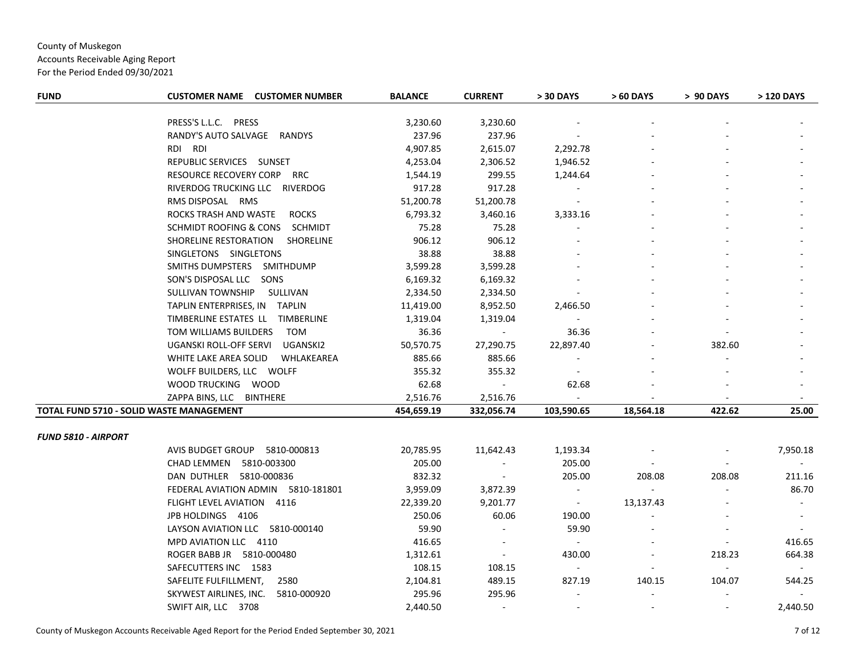Accounts Receivable Aging Report

| <b>FUND</b>                              | <b>CUSTOMER NAME CUSTOMER NUMBER</b>  | <b>BALANCE</b> | <b>CURRENT</b>           | > 30 DAYS      | > 60 DAYS                | > 90 DAYS                | > 120 DAYS     |
|------------------------------------------|---------------------------------------|----------------|--------------------------|----------------|--------------------------|--------------------------|----------------|
|                                          | PRESS'S L.L.C. PRESS                  | 3,230.60       | 3,230.60                 |                |                          |                          |                |
|                                          | RANDY'S AUTO SALVAGE RANDYS           | 237.96         | 237.96                   |                |                          |                          |                |
|                                          | RDI RDI                               | 4,907.85       | 2,615.07                 | 2,292.78       |                          |                          |                |
|                                          | REPUBLIC SERVICES SUNSET              | 4,253.04       | 2,306.52                 | 1,946.52       |                          |                          |                |
|                                          | RESOURCE RECOVERY CORP RRC            | 1,544.19       | 299.55                   | 1,244.64       |                          |                          |                |
|                                          | RIVERDOG TRUCKING LLC RIVERDOG        | 917.28         | 917.28                   | $\sim$         |                          |                          |                |
|                                          | RMS DISPOSAL RMS                      | 51,200.78      | 51,200.78                | $\sim$         |                          |                          |                |
|                                          | ROCKS TRASH AND WASTE<br><b>ROCKS</b> | 6,793.32       | 3,460.16                 | 3,333.16       |                          |                          |                |
|                                          | SCHMIDT ROOFING & CONS SCHMIDT        | 75.28          | 75.28                    |                |                          |                          |                |
|                                          | SHORELINE RESTORATION<br>SHORELINE    | 906.12         | 906.12                   |                |                          |                          |                |
|                                          | SINGLETONS SINGLETONS                 | 38.88          | 38.88                    |                |                          |                          |                |
|                                          | SMITHS DUMPSTERS SMITHDUMP            | 3,599.28       | 3,599.28                 |                |                          |                          |                |
|                                          | SON'S DISPOSAL LLC SONS               | 6,169.32       | 6,169.32                 |                |                          |                          |                |
|                                          | SULLIVAN TOWNSHIP<br>SULLIVAN         | 2,334.50       | 2,334.50                 |                |                          |                          |                |
|                                          | TAPLIN ENTERPRISES, IN TAPLIN         | 11,419.00      | 8,952.50                 | 2,466.50       |                          |                          |                |
|                                          | TIMBERLINE ESTATES LL TIMBERLINE      | 1,319.04       | 1,319.04                 | $\sim$         |                          |                          |                |
|                                          | TOM WILLIAMS BUILDERS<br>TOM          | 36.36          | $\sim$ $-$               | 36.36          |                          |                          |                |
|                                          | UGANSKI ROLL-OFF SERVI<br>UGANSKI2    | 50,570.75      | 27,290.75                | 22,897.40      |                          | 382.60                   |                |
|                                          | WHITE LAKE AREA SOLID<br>WHLAKEAREA   | 885.66         | 885.66                   | $\blacksquare$ |                          |                          |                |
|                                          | WOLFF BUILDERS, LLC WOLFF             | 355.32         | 355.32                   | $\sim$         |                          |                          |                |
|                                          | WOOD TRUCKING WOOD                    | 62.68          | $\sim$                   | 62.68          |                          |                          |                |
|                                          | ZAPPA BINS, LLC BINTHERE              | 2,516.76       | 2,516.76                 | $\sim$         | $\overline{\phantom{a}}$ | $\sim$                   | $\sim$         |
| TOTAL FUND 5710 - SOLID WASTE MANAGEMENT |                                       | 454,659.19     | 332,056.74               | 103,590.65     | 18,564.18                | 422.62                   | 25.00          |
| <b>FUND 5810 - AIRPORT</b>               |                                       |                |                          |                |                          |                          |                |
|                                          | AVIS BUDGET GROUP 5810-000813         | 20,785.95      | 11,642.43                | 1,193.34       |                          |                          | 7,950.18       |
|                                          | CHAD LEMMEN 5810-003300               | 205.00         | $\sim$                   | 205.00         |                          |                          |                |
|                                          | DAN DUTHLER 5810-000836               | 832.32         | $\sim$                   | 205.00         | 208.08                   | 208.08                   | 211.16         |
|                                          | FEDERAL AVIATION ADMIN 5810-181801    | 3,959.09       | 3,872.39                 | $\omega$       | $\sim$                   |                          | 86.70          |
|                                          | FLIGHT LEVEL AVIATION 4116            | 22,339.20      | 9,201.77                 | $\sim$ $-$     | 13,137.43                |                          | $\sim$         |
|                                          | JPB HOLDINGS 4106                     | 250.06         | 60.06                    | 190.00         |                          |                          | $\blacksquare$ |
|                                          | LAYSON AVIATION LLC 5810-000140       | 59.90          | $\sim$                   | 59.90          |                          |                          |                |
|                                          | MPD AVIATION LLC 4110                 | 416.65         | $\overline{\phantom{a}}$ | $\sim$         |                          | $\overline{\phantom{a}}$ | 416.65         |
|                                          | ROGER BABB JR 5810-000480             | 1,312.61       | $\sim$                   | 430.00         |                          | 218.23                   | 664.38         |
|                                          | SAFECUTTERS INC 1583                  | 108.15         | 108.15                   | $\sim$ $^{-1}$ | $\overline{\phantom{a}}$ | $\sim$                   | $\sim$         |
|                                          | SAFELITE FULFILLMENT,<br>2580         | 2,104.81       | 489.15                   | 827.19         | 140.15                   | 104.07                   | 544.25         |
|                                          | SKYWEST AIRLINES, INC.<br>5810-000920 | 295.96         | 295.96                   |                |                          |                          |                |
|                                          | SWIFT AIR, LLC 3708                   | 2,440.50       | $\sim$                   |                |                          |                          | 2,440.50       |
|                                          |                                       |                |                          |                |                          |                          |                |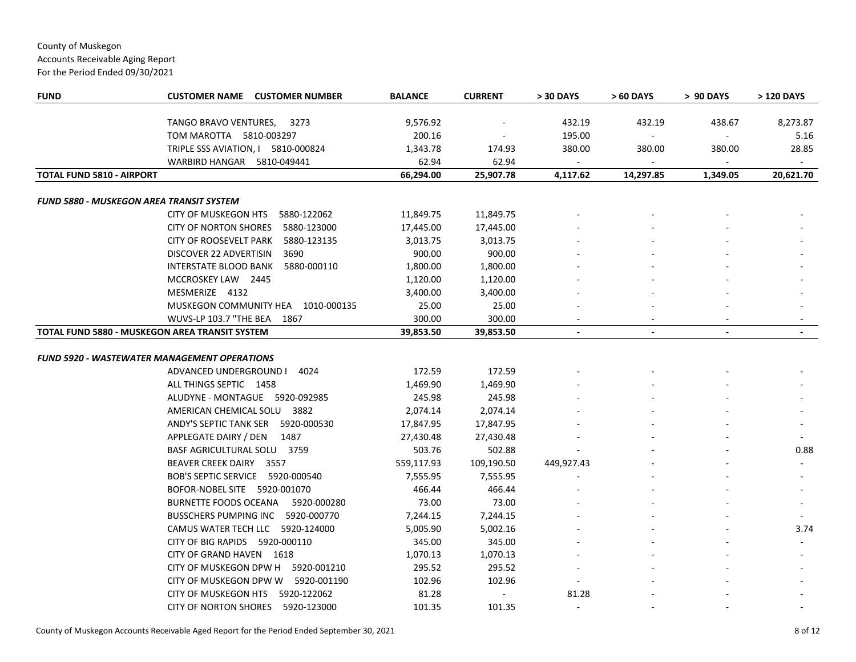Accounts Receivable Aging Report

| <b>FUND</b>                      | <b>CUSTOMER NAME</b><br><b>CUSTOMER NUMBER</b>        | <b>BALANCE</b> | <b>CURRENT</b> | > 30 DAYS                | > 60 DAYS      | > 90 DAYS      | > 120 DAYS |
|----------------------------------|-------------------------------------------------------|----------------|----------------|--------------------------|----------------|----------------|------------|
|                                  |                                                       |                |                |                          |                |                |            |
|                                  | TANGO BRAVO VENTURES,<br>3273                         | 9,576.92       |                | 432.19                   | 432.19         | 438.67         | 8,273.87   |
|                                  | TOM MAROTTA 5810-003297                               | 200.16         |                | 195.00                   | $\blacksquare$ |                | 5.16       |
|                                  | TRIPLE SSS AVIATION, I 5810-000824                    | 1,343.78       | 174.93         | 380.00                   | 380.00         | 380.00         | 28.85      |
|                                  | WARBIRD HANGAR 5810-049441                            | 62.94          | 62.94          |                          |                |                |            |
| <b>TOTAL FUND 5810 - AIRPORT</b> |                                                       | 66,294.00      | 25,907.78      | 4,117.62                 | 14,297.85      | 1,349.05       | 20,621.70  |
|                                  |                                                       |                |                |                          |                |                |            |
|                                  | FUND 5880 - MUSKEGON AREA TRANSIT SYSTEM              |                |                |                          |                |                |            |
|                                  | CITY OF MUSKEGON HTS<br>5880-122062                   | 11,849.75      | 11,849.75      |                          |                |                |            |
|                                  | <b>CITY OF NORTON SHORES</b><br>5880-123000           | 17,445.00      | 17,445.00      |                          |                |                |            |
|                                  | CITY OF ROOSEVELT PARK<br>5880-123135                 | 3,013.75       | 3,013.75       |                          |                |                |            |
|                                  | DISCOVER 22 ADVERTISIN<br>3690                        | 900.00         | 900.00         |                          |                |                |            |
|                                  | INTERSTATE BLOOD BANK<br>5880-000110                  | 1,800.00       | 1,800.00       |                          |                |                |            |
|                                  | MCCROSKEY LAW 2445                                    | 1,120.00       | 1,120.00       |                          |                |                |            |
|                                  | MESMERIZE 4132                                        | 3,400.00       | 3,400.00       |                          |                |                |            |
|                                  | MUSKEGON COMMUNITY HEA 1010-000135                    | 25.00          | 25.00          |                          |                |                |            |
|                                  | WUVS-LP 103.7 "THE BEA<br>1867                        | 300.00         | 300.00         |                          |                |                |            |
|                                  | <b>TOTAL FUND 5880 - MUSKEGON AREA TRANSIT SYSTEM</b> | 39,853.50      | 39,853.50      | $\overline{\phantom{a}}$ | $\blacksquare$ | $\blacksquare$ |            |
|                                  |                                                       |                |                |                          |                |                |            |
|                                  | FUND 5920 - WASTEWATER MANAGEMENT OPERATIONS          |                |                |                          |                |                |            |
|                                  | 4024<br>ADVANCED UNDERGROUND I                        | 172.59         | 172.59         |                          |                |                |            |
|                                  | ALL THINGS SEPTIC 1458                                | 1,469.90       | 1,469.90       |                          |                |                |            |
|                                  | ALUDYNE - MONTAGUE 5920-092985                        | 245.98         | 245.98         |                          |                |                |            |
|                                  | AMERICAN CHEMICAL SOLU 3882                           | 2,074.14       | 2,074.14       |                          |                |                |            |
|                                  | ANDY'S SEPTIC TANK SER 5920-000530                    | 17,847.95      | 17,847.95      |                          |                |                |            |
|                                  | APPLEGATE DAIRY / DEN<br>1487                         | 27,430.48      | 27,430.48      |                          |                |                |            |
|                                  | BASF AGRICULTURAL SOLU 3759                           | 503.76         | 502.88         |                          |                |                | 0.88       |
|                                  | BEAVER CREEK DAIRY 3557                               | 559,117.93     | 109,190.50     | 449,927.43               |                |                |            |
|                                  | BOB'S SEPTIC SERVICE 5920-000540                      | 7,555.95       | 7,555.95       |                          |                |                |            |
|                                  | BOFOR-NOBEL SITE 5920-001070                          | 466.44         | 466.44         |                          |                |                |            |
|                                  | <b>BURNETTE FOODS OCEANA</b><br>5920-000280           | 73.00          | 73.00          |                          |                |                |            |
|                                  | <b>BUSSCHERS PUMPING INC</b><br>5920-000770           | 7,244.15       | 7,244.15       |                          |                |                |            |
|                                  | CAMUS WATER TECH LLC 5920-124000                      | 5,005.90       | 5,002.16       |                          |                |                | 3.74       |
|                                  | CITY OF BIG RAPIDS 5920-000110                        | 345.00         | 345.00         |                          |                |                |            |
|                                  | CITY OF GRAND HAVEN 1618                              | 1,070.13       | 1,070.13       |                          |                |                |            |
|                                  | CITY OF MUSKEGON DPW H 5920-001210                    | 295.52         | 295.52         |                          |                |                |            |
|                                  | CITY OF MUSKEGON DPW W 5920-001190                    | 102.96         | 102.96         |                          |                |                |            |
|                                  | CITY OF MUSKEGON HTS<br>5920-122062                   | 81.28          | $\blacksquare$ | 81.28                    |                |                |            |
|                                  | CITY OF NORTON SHORES<br>5920-123000                  | 101.35         | 101.35         | $\blacksquare$           |                |                |            |
|                                  |                                                       |                |                |                          |                |                |            |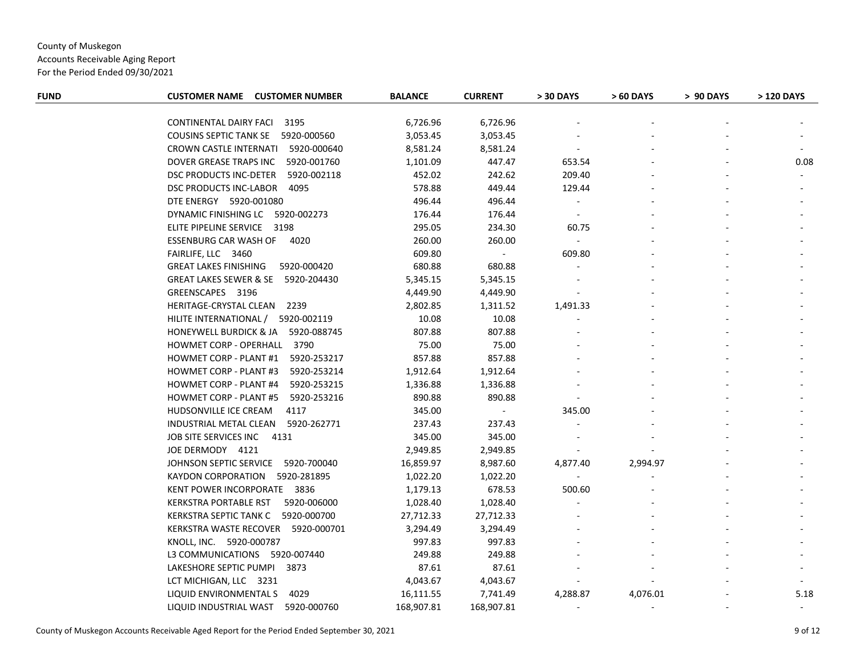Accounts Receivable Aging Report

| <b>FUND</b> | <b>CUSTOMER NAME CUSTOMER NUMBER</b>         | <b>BALANCE</b> | <b>CURRENT</b> | > 30 DAYS      | > 60 DAYS | > 90 DAYS | > 120 DAYS |
|-------------|----------------------------------------------|----------------|----------------|----------------|-----------|-----------|------------|
|             |                                              |                |                |                |           |           |            |
|             | CONTINENTAL DAIRY FACI 3195                  | 6,726.96       | 6,726.96       |                |           |           |            |
|             | COUSINS SEPTIC TANK SE 5920-000560           | 3,053.45       | 3,053.45       |                |           |           |            |
|             | CROWN CASTLE INTERNATI 5920-000640           | 8,581.24       | 8,581.24       | $\blacksquare$ |           |           |            |
|             | DOVER GREASE TRAPS INC 5920-001760           | 1,101.09       | 447.47         | 653.54         |           |           | 0.08       |
|             | DSC PRODUCTS INC-DETER<br>5920-002118        | 452.02         | 242.62         | 209.40         |           |           |            |
|             | DSC PRODUCTS INC-LABOR<br>4095               | 578.88         | 449.44         | 129.44         |           |           |            |
|             | DTE ENERGY 5920-001080                       | 496.44         | 496.44         | $\blacksquare$ |           |           |            |
|             | DYNAMIC FINISHING LC 5920-002273             | 176.44         | 176.44         | $\sim$         |           |           |            |
|             | ELITE PIPELINE SERVICE 3198                  | 295.05         | 234.30         | 60.75          |           |           |            |
|             | ESSENBURG CAR WASH OF 4020                   | 260.00         | 260.00         |                |           |           |            |
|             | FAIRLIFE, LLC 3460                           | 609.80         | $\blacksquare$ | 609.80         |           |           |            |
|             | <b>GREAT LAKES FINISHING</b><br>5920-000420  | 680.88         | 680.88         |                |           |           |            |
|             | GREAT LAKES SEWER & SE 5920-204430           | 5,345.15       | 5,345.15       |                |           |           |            |
|             | GREENSCAPES 3196                             | 4,449.90       | 4,449.90       |                |           |           |            |
|             | HERITAGE-CRYSTAL CLEAN 2239                  | 2,802.85       | 1,311.52       | 1,491.33       |           |           |            |
|             | HILITE INTERNATIONAL / 5920-002119           | 10.08          | 10.08          |                |           |           |            |
|             | HONEYWELL BURDICK & JA 5920-088745           | 807.88         | 807.88         |                |           |           |            |
|             | HOWMET CORP - OPERHALL 3790                  | 75.00          | 75.00          |                |           |           |            |
|             | <b>HOWMET CORP - PLANT #1</b><br>5920-253217 | 857.88         | 857.88         |                |           |           |            |
|             | HOWMET CORP - PLANT #3<br>5920-253214        | 1,912.64       | 1,912.64       |                |           |           |            |
|             | <b>HOWMET CORP - PLANT #4</b><br>5920-253215 | 1,336.88       | 1,336.88       |                |           |           |            |
|             | 5920-253216<br><b>HOWMET CORP - PLANT #5</b> | 890.88         | 890.88         |                |           |           |            |
|             | HUDSONVILLE ICE CREAM<br>4117                | 345.00         | $\sim$         | 345.00         |           |           |            |
|             | INDUSTRIAL METAL CLEAN<br>5920-262771        | 237.43         | 237.43         |                |           |           |            |
|             | JOB SITE SERVICES INC<br>4131                | 345.00         | 345.00         |                |           |           |            |
|             | JOE DERMODY 4121                             | 2,949.85       | 2,949.85       |                |           |           |            |
|             | JOHNSON SEPTIC SERVICE 5920-700040           | 16,859.97      | 8,987.60       | 4,877.40       | 2,994.97  |           |            |
|             | KAYDON CORPORATION 5920-281895               | 1,022.20       | 1,022.20       |                |           |           |            |
|             | KENT POWER INCORPORATE 3836                  | 1,179.13       | 678.53         | 500.60         |           |           |            |
|             | <b>KERKSTRA PORTABLE RST</b><br>5920-006000  | 1,028.40       | 1,028.40       |                |           |           |            |
|             | KERKSTRA SEPTIC TANK C 5920-000700           | 27,712.33      | 27,712.33      |                |           |           |            |
|             | KERKSTRA WASTE RECOVER 5920-000701           | 3,294.49       | 3,294.49       |                |           |           |            |
|             | KNOLL, INC. 5920-000787                      | 997.83         | 997.83         |                |           |           |            |
|             | L3 COMMUNICATIONS 5920-007440                | 249.88         | 249.88         |                |           |           |            |
|             | LAKESHORE SEPTIC PUMPI 3873                  | 87.61          | 87.61          |                |           |           |            |
|             | LCT MICHIGAN, LLC 3231                       | 4,043.67       | 4,043.67       |                |           |           |            |
|             | LIQUID ENVIRONMENTAL S<br>4029               | 16,111.55      | 7,741.49       | 4,288.87       | 4,076.01  |           | 5.18       |
|             | LIQUID INDUSTRIAL WAST 5920-000760           | 168,907.81     | 168,907.81     | $\sim$         |           |           |            |
|             |                                              |                |                |                |           |           |            |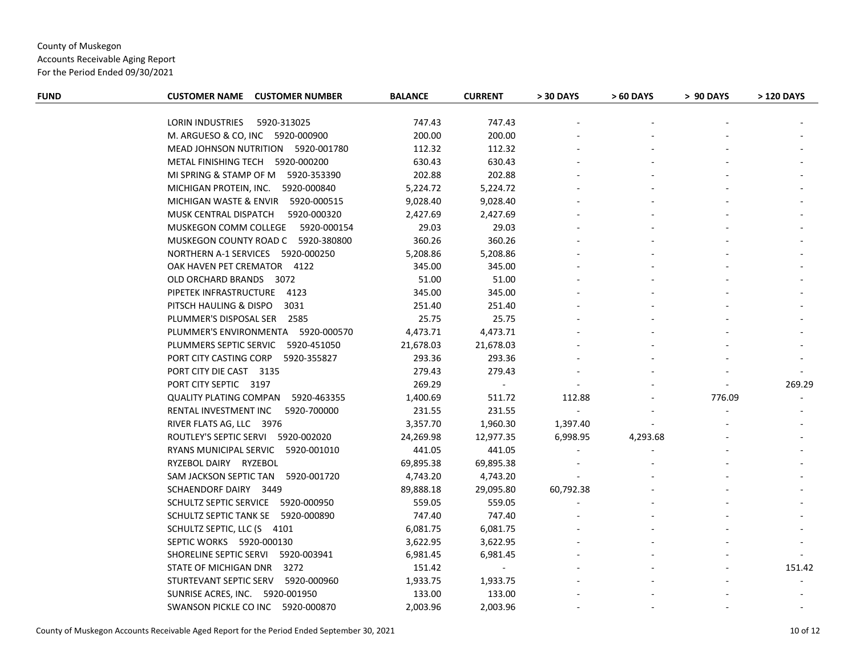Accounts Receivable Aging Report

| <b>CUSTOMER NAME</b><br><b>CUSTOMER NUMBER</b> |           |                                                  |                                                          |           | > 90 DAYS      | > 120 DAYS |
|------------------------------------------------|-----------|--------------------------------------------------|----------------------------------------------------------|-----------|----------------|------------|
|                                                |           |                                                  |                                                          |           |                |            |
| LORIN INDUSTRIES<br>5920-313025                |           |                                                  |                                                          |           |                |            |
| M. ARGUESO & CO, INC 5920-000900               | 200.00    |                                                  |                                                          |           |                |            |
| MEAD JOHNSON NUTRITION 5920-001780             | 112.32    |                                                  |                                                          |           |                |            |
| METAL FINISHING TECH 5920-000200               | 630.43    | 630.43                                           |                                                          |           |                |            |
| MI SPRING & STAMP OF M 5920-353390             | 202.88    | 202.88                                           |                                                          |           |                |            |
| MICHIGAN PROTEIN, INC. 5920-000840             | 5,224.72  | 5,224.72                                         |                                                          |           |                |            |
| MICHIGAN WASTE & ENVIR<br>5920-000515          | 9,028.40  | 9,028.40                                         |                                                          |           |                |            |
| MUSK CENTRAL DISPATCH<br>5920-000320           | 2,427.69  | 2,427.69                                         |                                                          |           |                |            |
| MUSKEGON COMM COLLEGE<br>5920-000154           | 29.03     | 29.03                                            |                                                          |           |                |            |
| MUSKEGON COUNTY ROAD C 5920-380800             | 360.26    | 360.26                                           |                                                          |           |                |            |
| NORTHERN A-1 SERVICES 5920-000250              | 5,208.86  | 5,208.86                                         |                                                          |           |                |            |
| OAK HAVEN PET CREMATOR 4122                    | 345.00    | 345.00                                           |                                                          |           |                |            |
| OLD ORCHARD BRANDS 3072                        | 51.00     | 51.00                                            |                                                          |           |                |            |
| PIPETEK INFRASTRUCTURE 4123                    | 345.00    | 345.00                                           |                                                          |           |                |            |
| PITSCH HAULING & DISPO<br>3031                 | 251.40    | 251.40                                           |                                                          |           |                |            |
| PLUMMER'S DISPOSAL SER 2585                    | 25.75     | 25.75                                            |                                                          |           |                |            |
| PLUMMER'S ENVIRONMENTA 5920-000570             | 4,473.71  | 4,473.71                                         |                                                          |           |                |            |
| PLUMMERS SEPTIC SERVIC<br>5920-451050          | 21,678.03 | 21,678.03                                        |                                                          |           |                |            |
| PORT CITY CASTING CORP<br>5920-355827          | 293.36    | 293.36                                           |                                                          |           |                |            |
| PORT CITY DIE CAST 3135                        | 279.43    | 279.43                                           |                                                          |           |                |            |
| PORT CITY SEPTIC 3197                          | 269.29    | $\sim$                                           |                                                          |           | $\blacksquare$ | 269.29     |
| QUALITY PLATING COMPAN 5920-463355             | 1,400.69  | 511.72                                           | 112.88                                                   |           | 776.09         |            |
| RENTAL INVESTMENT INC<br>5920-700000           | 231.55    | 231.55                                           | $\sim$                                                   |           |                |            |
| RIVER FLATS AG, LLC 3976                       | 3,357.70  | 1,960.30                                         | 1,397.40                                                 |           |                |            |
| ROUTLEY'S SEPTIC SERVI 5920-002020             | 24,269.98 | 12,977.35                                        | 6,998.95                                                 | 4,293.68  |                |            |
| RYANS MUNICIPAL SERVIC 5920-001010             | 441.05    | 441.05                                           |                                                          |           |                |            |
| RYZEBOL DAIRY RYZEBOL                          | 69,895.38 | 69,895.38                                        |                                                          |           |                |            |
| SAM JACKSON SEPTIC TAN 5920-001720             | 4,743.20  | 4,743.20                                         |                                                          |           |                |            |
| SCHAENDORF DAIRY 3449                          | 89,888.18 | 29,095.80                                        | 60,792.38                                                |           |                |            |
| SCHULTZ SEPTIC SERVICE 5920-000950             | 559.05    | 559.05                                           |                                                          |           |                |            |
| SCHULTZ SEPTIC TANK SE 5920-000890             | 747.40    | 747.40                                           |                                                          |           |                |            |
| SCHULTZ SEPTIC, LLC (S 4101                    | 6,081.75  | 6,081.75                                         |                                                          |           |                |            |
| SEPTIC WORKS 5920-000130                       |           |                                                  |                                                          |           |                |            |
| SHORELINE SEPTIC SERVI 5920-003941             |           | 6,981.45                                         |                                                          |           |                |            |
| STATE OF MICHIGAN DNR<br>3272                  | 151.42    | $\sim$                                           |                                                          |           |                | 151.42     |
| STURTEVANT SEPTIC SERV 5920-000960             | 1,933.75  | 1,933.75                                         |                                                          |           |                |            |
| SUNRISE ACRES, INC. 5920-001950                | 133.00    | 133.00                                           |                                                          |           |                |            |
| SWANSON PICKLE CO INC 5920-000870              | 2,003.96  | 2,003.96                                         |                                                          |           |                |            |
|                                                |           | <b>BALANCE</b><br>747.43<br>3,622.95<br>6,981.45 | <b>CURRENT</b><br>747.43<br>200.00<br>112.32<br>3,622.95 | > 30 DAYS | > 60 DAYS      |            |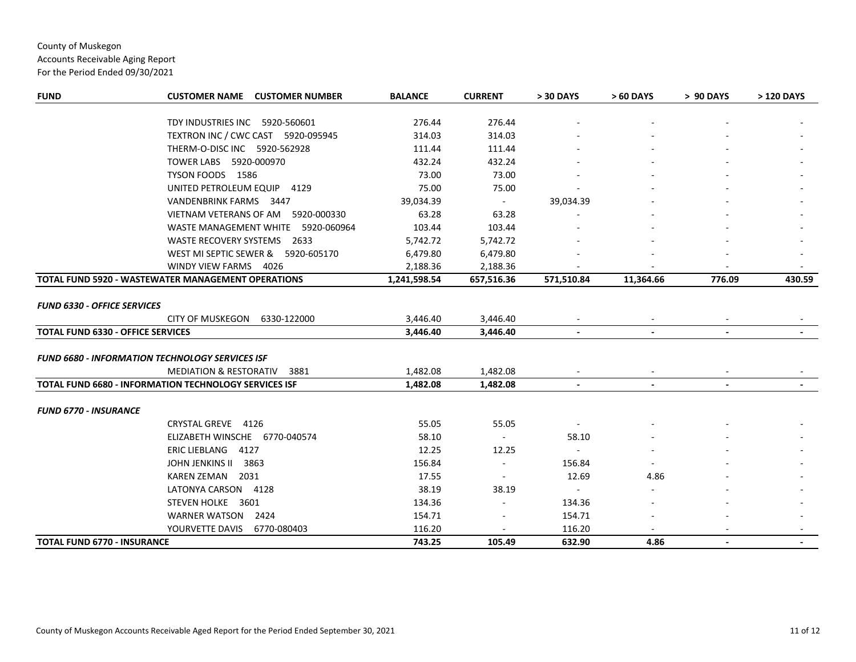# County of Muskegon Accounts Receivable Aging Report

| <b>FUND</b>                              | <b>CUSTOMER NAME CUSTOMER NUMBER</b>                         | <b>BALANCE</b> | <b>CURRENT</b> | > 30 DAYS      | > 60 DAYS      | > 90 DAYS      | > 120 DAYS |
|------------------------------------------|--------------------------------------------------------------|----------------|----------------|----------------|----------------|----------------|------------|
|                                          | TDY INDUSTRIES INC 5920-560601                               | 276.44         | 276.44         |                |                |                |            |
|                                          | TEXTRON INC / CWC CAST 5920-095945                           | 314.03         | 314.03         |                |                |                |            |
|                                          | THERM-O-DISC INC 5920-562928                                 | 111.44         | 111.44         |                |                |                |            |
|                                          | TOWER LABS 5920-000970                                       | 432.24         | 432.24         |                |                |                |            |
|                                          | TYSON FOODS 1586                                             | 73.00          | 73.00          |                |                |                |            |
|                                          | UNITED PETROLEUM EQUIP 4129                                  |                |                |                |                |                |            |
|                                          | VANDENBRINK FARMS 3447                                       | 75.00          | 75.00          |                |                |                |            |
|                                          |                                                              | 39,034.39      | $\sim$ $-$     | 39,034.39      |                |                |            |
|                                          | VIETNAM VETERANS OF AM 5920-000330                           | 63.28          | 63.28          |                |                |                |            |
|                                          | WASTE MANAGEMENT WHITE 5920-060964                           | 103.44         | 103.44         |                |                |                |            |
|                                          | WASTE RECOVERY SYSTEMS 2633                                  | 5,742.72       | 5,742.72       |                |                |                |            |
|                                          | WEST MI SEPTIC SEWER & 5920-605170                           | 6,479.80       | 6,479.80       |                |                |                |            |
|                                          | WINDY VIEW FARMS 4026                                        | 2,188.36       | 2,188.36       |                |                |                |            |
|                                          | TOTAL FUND 5920 - WASTEWATER MANAGEMENT OPERATIONS           | 1,241,598.54   | 657,516.36     | 571,510.84     | 11,364.66      | 776.09         | 430.59     |
| <b>FUND 6330 - OFFICE SERVICES</b>       |                                                              |                |                |                |                |                |            |
|                                          | <b>CITY OF MUSKEGON</b><br>6330-122000                       | 3,446.40       | 3,446.40       |                |                |                |            |
| <b>TOTAL FUND 6330 - OFFICE SERVICES</b> |                                                              | 3,446.40       | 3,446.40       |                |                |                |            |
|                                          | <b>FUND 6680 - INFORMATION TECHNOLOGY SERVICES ISF</b>       |                |                |                |                |                |            |
|                                          | <b>MEDIATION &amp; RESTORATIV</b><br>3881                    | 1,482.08       | 1,482.08       |                |                |                |            |
|                                          | <b>TOTAL FUND 6680 - INFORMATION TECHNOLOGY SERVICES ISF</b> | 1,482.08       | 1,482.08       | $\blacksquare$ | $\blacksquare$ | $\blacksquare$ |            |
| <b>FUND 6770 - INSURANCE</b>             |                                                              |                |                |                |                |                |            |
|                                          | CRYSTAL GREVE 4126                                           | 55.05          | 55.05          |                |                |                |            |
|                                          | ELIZABETH WINSCHE 6770-040574                                | 58.10          | $\sim$         | 58.10          |                |                |            |
|                                          | ERIC LIEBLANG 4127                                           | 12.25          | 12.25          |                |                |                |            |
|                                          | JOHN JENKINS II<br>3863                                      | 156.84         |                | 156.84         |                |                |            |
|                                          | KAREN ZEMAN 2031                                             | 17.55          |                | 12.69          | 4.86           |                |            |
|                                          | LATONYA CARSON 4128                                          | 38.19          | 38.19          | $\sim$         |                |                |            |
|                                          | STEVEN HOLKE 3601                                            | 134.36         |                | 134.36         |                |                |            |
|                                          | WARNER WATSON 2424                                           | 154.71         |                | 154.71         |                |                |            |
|                                          | YOURVETTE DAVIS<br>6770-080403                               | 116.20         |                | 116.20         |                |                |            |
| <b>TOTAL FUND 6770 - INSURANCE</b>       |                                                              | 743.25         | 105.49         | 632.90         | 4.86           |                |            |